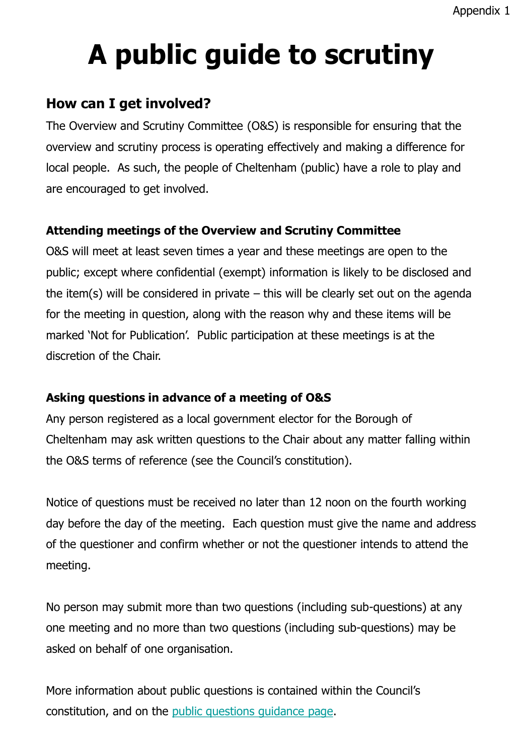# **A public guide to scrutiny**

# **How can I get involved?**

The Overview and Scrutiny Committee (O&S) is responsible for ensuring that the overview and scrutiny process is operating effectively and making a difference for local people. As such, the people of Cheltenham (public) have a role to play and are encouraged to get involved.

### **Attending meetings of the Overview and Scrutiny Committee**

O&S will meet at least seven times a year and these meetings are open to the public; except where confidential (exempt) information is likely to be disclosed and the item(s) will be considered in private  $-$  this will be clearly set out on the agenda for the meeting in question, along with the reason why and these items will be marked 'Not for Publication'. Public participation at these meetings is at the discretion of the Chair.

## **Asking questions in advance of a meeting of O&S**

Any person registered as a local government elector for the Borough of Cheltenham may ask written questions to the Chair about any matter falling within the O&S terms of reference (see the Council's constitution).

Notice of questions must be received no later than 12 noon on the fourth working day before the day of the meeting. Each question must give the name and address of the questioner and confirm whether or not the questioner intends to attend the meeting.

No person may submit more than two questions (including sub-questions) at any one meeting and no more than two questions (including sub-questions) may be asked on behalf of one organisation.

More information about public questions is contained within the Council's constitution, and on the [public questions guidance page](https://democracy.cheltenham.gov.uk/mgGeneric.aspx?MD=mgpublicquestions&bcr=1).